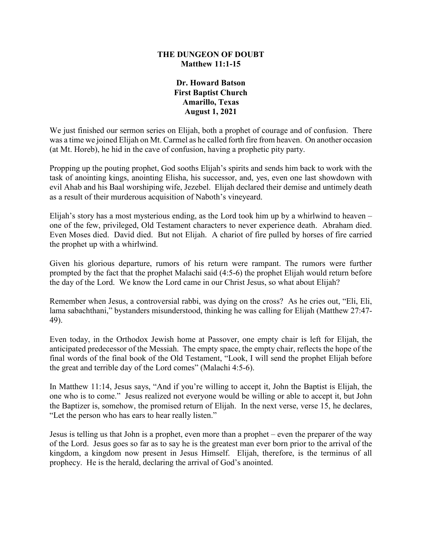## **THE DUNGEON OF DOUBT Matthew 11:1-15**

## **Dr. Howard Batson First Baptist Church Amarillo, Texas August 1, 2021**

We just finished our sermon series on Elijah, both a prophet of courage and of confusion. There was a time we joined Elijah on Mt. Carmel as he called forth fire from heaven. On another occasion (at Mt. Horeb), he hid in the cave of confusion, having a prophetic pity party.

Propping up the pouting prophet, God sooths Elijah's spirits and sends him back to work with the task of anointing kings, anointing Elisha, his successor, and, yes, even one last showdown with evil Ahab and his Baal worshiping wife, Jezebel. Elijah declared their demise and untimely death as a result of their murderous acquisition of Naboth's vineyeard.

Elijah's story has a most mysterious ending, as the Lord took him up by a whirlwind to heaven – one of the few, privileged, Old Testament characters to never experience death. Abraham died. Even Moses died. David died. But not Elijah. A chariot of fire pulled by horses of fire carried the prophet up with a whirlwind.

Given his glorious departure, rumors of his return were rampant. The rumors were further prompted by the fact that the prophet Malachi said (4:5-6) the prophet Elijah would return before the day of the Lord. We know the Lord came in our Christ Jesus, so what about Elijah?

Remember when Jesus, a controversial rabbi, was dying on the cross? As he cries out, "Eli, Eli, lama sabachthani," bystanders misunderstood, thinking he was calling for Elijah (Matthew 27:47- 49).

Even today, in the Orthodox Jewish home at Passover, one empty chair is left for Elijah, the anticipated predecessor of the Messiah. The empty space, the empty chair, reflects the hope of the final words of the final book of the Old Testament, "Look, I will send the prophet Elijah before the great and terrible day of the Lord comes" (Malachi 4:5-6).

In Matthew 11:14, Jesus says, "And if you're willing to accept it, John the Baptist is Elijah, the one who is to come." Jesus realized not everyone would be willing or able to accept it, but John the Baptizer is, somehow, the promised return of Elijah. In the next verse, verse 15, he declares, "Let the person who has ears to hear really listen."

Jesus is telling us that John is a prophet, even more than a prophet – even the preparer of the way of the Lord. Jesus goes so far as to say he is the greatest man ever born prior to the arrival of the kingdom, a kingdom now present in Jesus Himself. Elijah, therefore, is the terminus of all prophecy. He is the herald, declaring the arrival of God's anointed.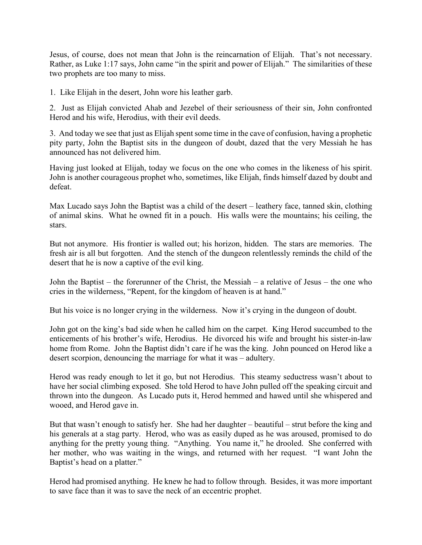Jesus, of course, does not mean that John is the reincarnation of Elijah. That's not necessary. Rather, as Luke 1:17 says, John came "in the spirit and power of Elijah." The similarities of these two prophets are too many to miss.

1. Like Elijah in the desert, John wore his leather garb.

2. Just as Elijah convicted Ahab and Jezebel of their seriousness of their sin, John confronted Herod and his wife, Herodius, with their evil deeds.

3. And today we see that just as Elijah spent some time in the cave of confusion, having a prophetic pity party, John the Baptist sits in the dungeon of doubt, dazed that the very Messiah he has announced has not delivered him.

Having just looked at Elijah, today we focus on the one who comes in the likeness of his spirit. John is another courageous prophet who, sometimes, like Elijah, finds himself dazed by doubt and defeat.

Max Lucado says John the Baptist was a child of the desert – leathery face, tanned skin, clothing of animal skins. What he owned fit in a pouch. His walls were the mountains; his ceiling, the stars.

But not anymore. His frontier is walled out; his horizon, hidden. The stars are memories. The fresh air is all but forgotten. And the stench of the dungeon relentlessly reminds the child of the desert that he is now a captive of the evil king.

John the Baptist – the forerunner of the Christ, the Messiah – a relative of Jesus – the one who cries in the wilderness, "Repent, for the kingdom of heaven is at hand."

But his voice is no longer crying in the wilderness. Now it's crying in the dungeon of doubt.

John got on the king's bad side when he called him on the carpet. King Herod succumbed to the enticements of his brother's wife, Herodius. He divorced his wife and brought his sister-in-law home from Rome. John the Baptist didn't care if he was the king. John pounced on Herod like a desert scorpion, denouncing the marriage for what it was – adultery.

Herod was ready enough to let it go, but not Herodius. This steamy seductress wasn't about to have her social climbing exposed. She told Herod to have John pulled off the speaking circuit and thrown into the dungeon. As Lucado puts it, Herod hemmed and hawed until she whispered and wooed, and Herod gave in.

But that wasn't enough to satisfy her. She had her daughter – beautiful – strut before the king and his generals at a stag party. Herod, who was as easily duped as he was aroused, promised to do anything for the pretty young thing. "Anything. You name it," he drooled. She conferred with her mother, who was waiting in the wings, and returned with her request. "I want John the Baptist's head on a platter."

Herod had promised anything. He knew he had to follow through. Besides, it was more important to save face than it was to save the neck of an eccentric prophet.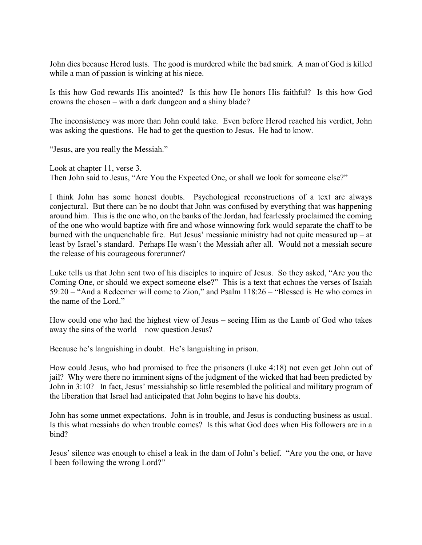John dies because Herod lusts. The good is murdered while the bad smirk. A man of God is killed while a man of passion is winking at his niece.

Is this how God rewards His anointed? Is this how He honors His faithful? Is this how God crowns the chosen – with a dark dungeon and a shiny blade?

The inconsistency was more than John could take. Even before Herod reached his verdict, John was asking the questions. He had to get the question to Jesus. He had to know.

"Jesus, are you really the Messiah."

Look at chapter 11, verse 3. Then John said to Jesus, "Are You the Expected One, or shall we look for someone else?"

I think John has some honest doubts. Psychological reconstructions of a text are always conjectural. But there can be no doubt that John was confused by everything that was happening around him. This is the one who, on the banks of the Jordan, had fearlessly proclaimed the coming of the one who would baptize with fire and whose winnowing fork would separate the chaff to be burned with the unquenchable fire. But Jesus' messianic ministry had not quite measured  $up - at$ least by Israel's standard. Perhaps He wasn't the Messiah after all. Would not a messiah secure the release of his courageous forerunner?

Luke tells us that John sent two of his disciples to inquire of Jesus. So they asked, "Are you the Coming One, or should we expect someone else?" This is a text that echoes the verses of Isaiah 59:20 – "And a Redeemer will come to Zion," and Psalm 118:26 – "Blessed is He who comes in the name of the Lord."

How could one who had the highest view of Jesus – seeing Him as the Lamb of God who takes away the sins of the world – now question Jesus?

Because he's languishing in doubt. He's languishing in prison.

How could Jesus, who had promised to free the prisoners (Luke 4:18) not even get John out of jail? Why were there no imminent signs of the judgment of the wicked that had been predicted by John in 3:10? In fact, Jesus' messiahship so little resembled the political and military program of the liberation that Israel had anticipated that John begins to have his doubts.

John has some unmet expectations. John is in trouble, and Jesus is conducting business as usual. Is this what messiahs do when trouble comes? Is this what God does when His followers are in a bind?

Jesus' silence was enough to chisel a leak in the dam of John's belief. "Are you the one, or have I been following the wrong Lord?"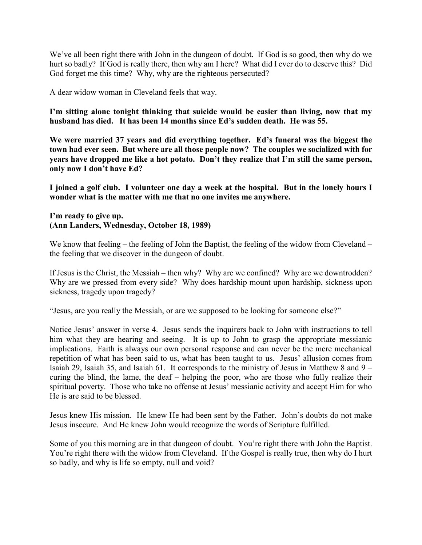We've all been right there with John in the dungeon of doubt. If God is so good, then why do we hurt so badly? If God is really there, then why am I here? What did I ever do to deserve this? Did God forget me this time? Why, why are the righteous persecuted?

A dear widow woman in Cleveland feels that way.

**I'm sitting alone tonight thinking that suicide would be easier than living, now that my husband has died. It has been 14 months since Ed's sudden death. He was 55.**

**We were married 37 years and did everything together. Ed's funeral was the biggest the town had ever seen. But where are all those people now? The couples we socialized with for years have dropped me like a hot potato. Don't they realize that I'm still the same person, only now I don't have Ed?**

**I joined a golf club. I volunteer one day a week at the hospital. But in the lonely hours I wonder what is the matter with me that no one invites me anywhere.**

## **I'm ready to give up. (Ann Landers, Wednesday, October 18, 1989)**

We know that feeling – the feeling of John the Baptist, the feeling of the widow from Cleveland – the feeling that we discover in the dungeon of doubt.

If Jesus is the Christ, the Messiah – then why? Why are we confined? Why are we downtrodden? Why are we pressed from every side? Why does hardship mount upon hardship, sickness upon sickness, tragedy upon tragedy?

"Jesus, are you really the Messiah, or are we supposed to be looking for someone else?"

Notice Jesus' answer in verse 4. Jesus sends the inquirers back to John with instructions to tell him what they are hearing and seeing. It is up to John to grasp the appropriate messianic implications. Faith is always our own personal response and can never be the mere mechanical repetition of what has been said to us, what has been taught to us. Jesus' allusion comes from Isaiah 29, Isaiah 35, and Isaiah 61. It corresponds to the ministry of Jesus in Matthew 8 and 9 – curing the blind, the lame, the deaf – helping the poor, who are those who fully realize their spiritual poverty. Those who take no offense at Jesus' messianic activity and accept Him for who He is are said to be blessed.

Jesus knew His mission. He knew He had been sent by the Father. John's doubts do not make Jesus insecure. And He knew John would recognize the words of Scripture fulfilled.

Some of you this morning are in that dungeon of doubt. You're right there with John the Baptist. You're right there with the widow from Cleveland. If the Gospel is really true, then why do I hurt so badly, and why is life so empty, null and void?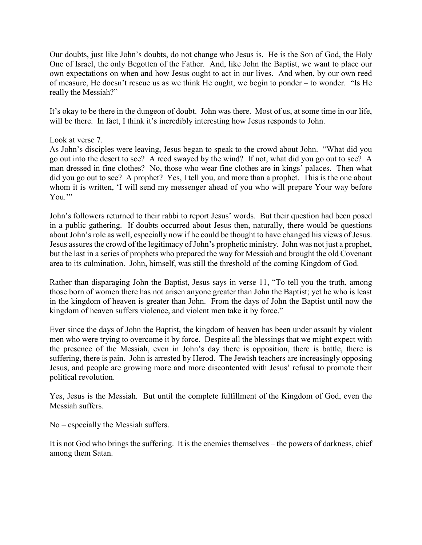Our doubts, just like John's doubts, do not change who Jesus is. He is the Son of God, the Holy One of Israel, the only Begotten of the Father. And, like John the Baptist, we want to place our own expectations on when and how Jesus ought to act in our lives. And when, by our own reed of measure, He doesn't rescue us as we think He ought, we begin to ponder – to wonder. "Is He really the Messiah?"

It's okay to be there in the dungeon of doubt. John was there. Most of us, at some time in our life, will be there. In fact, I think it's incredibly interesting how Jesus responds to John.

## Look at verse 7.

As John's disciples were leaving, Jesus began to speak to the crowd about John. "What did you go out into the desert to see? A reed swayed by the wind? If not, what did you go out to see? A man dressed in fine clothes? No, those who wear fine clothes are in kings' palaces. Then what did you go out to see? A prophet? Yes, I tell you, and more than a prophet. This is the one about whom it is written, 'I will send my messenger ahead of you who will prepare Your way before You."

John's followers returned to their rabbi to report Jesus' words. But their question had been posed in a public gathering. If doubts occurred about Jesus then, naturally, there would be questions about John's role as well, especially now if he could be thought to have changed his views of Jesus. Jesus assures the crowd of the legitimacy of John's prophetic ministry. John was not just a prophet, but the last in a series of prophets who prepared the way for Messiah and brought the old Covenant area to its culmination. John, himself, was still the threshold of the coming Kingdom of God.

Rather than disparaging John the Baptist, Jesus says in verse 11, "To tell you the truth, among those born of women there has not arisen anyone greater than John the Baptist; yet he who is least in the kingdom of heaven is greater than John. From the days of John the Baptist until now the kingdom of heaven suffers violence, and violent men take it by force."

Ever since the days of John the Baptist, the kingdom of heaven has been under assault by violent men who were trying to overcome it by force. Despite all the blessings that we might expect with the presence of the Messiah, even in John's day there is opposition, there is battle, there is suffering, there is pain. John is arrested by Herod. The Jewish teachers are increasingly opposing Jesus, and people are growing more and more discontented with Jesus' refusal to promote their political revolution.

Yes, Jesus is the Messiah. But until the complete fulfillment of the Kingdom of God, even the Messiah suffers.

No – especially the Messiah suffers.

It is not God who brings the suffering. It is the enemies themselves – the powers of darkness, chief among them Satan.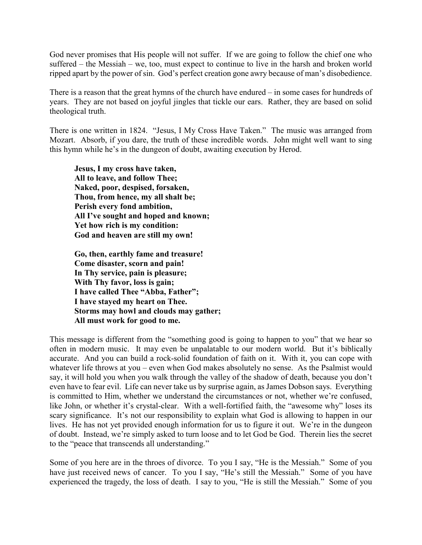God never promises that His people will not suffer. If we are going to follow the chief one who suffered – the Messiah – we, too, must expect to continue to live in the harsh and broken world ripped apart by the power of sin. God's perfect creation gone awry because of man's disobedience.

There is a reason that the great hymns of the church have endured – in some cases for hundreds of years. They are not based on joyful jingles that tickle our ears. Rather, they are based on solid theological truth.

There is one written in 1824. "Jesus, I My Cross Have Taken." The music was arranged from Mozart. Absorb, if you dare, the truth of these incredible words. John might well want to sing this hymn while he's in the dungeon of doubt, awaiting execution by Herod.

**Jesus, I my cross have taken, All to leave, and follow Thee; Naked, poor, despised, forsaken, Thou, from hence, my all shalt be; Perish every fond ambition, All I've sought and hoped and known; Yet how rich is my condition: God and heaven are still my own!**

**Go, then, earthly fame and treasure! Come disaster, scorn and pain! In Thy service, pain is pleasure; With Thy favor, loss is gain; I have called Thee "Abba, Father"; I have stayed my heart on Thee. Storms may howl and clouds may gather; All must work for good to me.**

This message is different from the "something good is going to happen to you" that we hear so often in modern music. It may even be unpalatable to our modern world. But it's biblically accurate. And you can build a rock-solid foundation of faith on it. With it, you can cope with whatever life throws at you – even when God makes absolutely no sense. As the Psalmist would say, it will hold you when you walk through the valley of the shadow of death, because you don't even have to fear evil. Life can never take us by surprise again, as James Dobson says. Everything is committed to Him, whether we understand the circumstances or not, whether we're confused, like John, or whether it's crystal-clear. With a well-fortified faith, the "awesome why" loses its scary significance. It's not our responsibility to explain what God is allowing to happen in our lives. He has not yet provided enough information for us to figure it out. We're in the dungeon of doubt. Instead, we're simply asked to turn loose and to let God be God. Therein lies the secret to the "peace that transcends all understanding."

Some of you here are in the throes of divorce. To you I say, "He is the Messiah." Some of you have just received news of cancer. To you I say, "He's still the Messiah." Some of you have experienced the tragedy, the loss of death. I say to you, "He is still the Messiah." Some of you